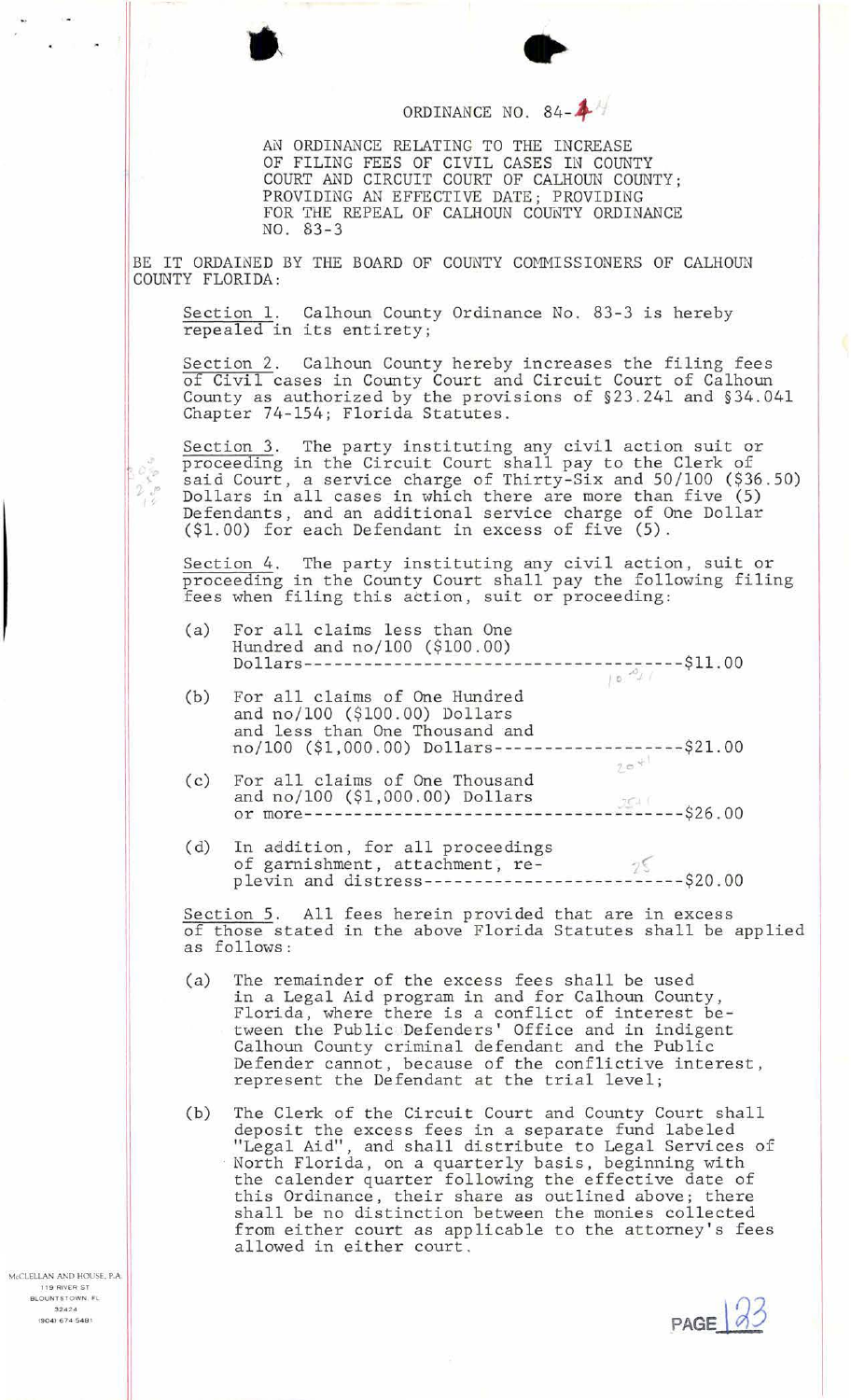

 $\begin{array}{c} \phi_{\frac{1}{2}p}^{0}\\ 2\ \, \phi_{p}\\ 1 \ \, \phi \end{array}$ 



## ORDINANCE NO.  $84-\frac{4}{3}$

AN ORDINANCE RELATING TO THE INCREASE OF FILING FEES OF CIVIL CASES IN COUNTY COURT AND CIRCUIT COURT OF CALHOUN COUNTY; PROVIDING AN EFFECTIVE DATE; PROVIDING FOR THE REPEAL OF CALHOUN COUNTY ORDINANCE NO. 83-3

BE IT ORDAINED BY THE BOARD OF COUNTY COMMISSIONERS OF CALHOUN COUNTY FLORIDA:

Section l. Calhoun County Ordinance No. 83-3 is hereby repealed in its entirety;

Section 2. Calhoun County hereby increases the filing fees of Civil cases in County Court and Circuit Court of Calhoun County as authorized by the provisions of §23 . 241 and §34.041 Chapter 74-154; Florida Statutes.

Section 3. The party instituting any civil action suit or proceeding in the Circuit Court shall pay to the Clerk of said Court, a service charge of Thirty-Six and 50/100 (\$36.50) Dollars in all cases in which there are more than five (5) Defendants, and an additional service charge of One Dollar (\$1.00) for each Defendant in excess of five (5).

Section 4. The party instituting any civil action, suit or proceeding in the County Court shall pay the following filing fees when filing this action, suit or proceeding:

- (a) For all claims less than One Hundred and no/100 (\$100.00) Dollars-- ---------------------------------- --\$11.00 I o ·'
- (b) For all claims of One Hundred and no/100 (\$100.00) Dollars and less than One Thousand and no/100 (\$1,000.00) Dollars----------------------\$21.00
- (c) For all claims of One Thousand and  $no/100$  (\$1,000.00) Dollars or more- - ------------------------------------\$26 . 00
- (d) In addition, for all proceedings of garnishment, attachment,  $re \gamma$ plevin and distress--------------------------\$20.00

Section 5. All fees herein provided that are in excess of those stated in the above Florida Statutes shall be applied as follows:

- (a) The remainder of the excess fees shall be used in a Legal Aid program in and for Calhoun County, Florida, where there is a conflict of interest between the Public Defenders' Office and in indigent Calhoun County criminal defendant and the Public Defender cannot, because of the conflictive interest, represent the Defendant at the trial level;
- (b) The Clerk of the Circuit Court and County Court shall deposit the excess fees in a separate fund labeled "Legal Aid", and shall distribute to Legal Services of North Florida, on a quarterly basis, beginning with North Florida, on a quarterly basis, beginning with<br>the calender quarter following the effective date of this Ordinance, their share as outlined above; there shall be no distinction between the monies collected from either court as applicable to the attorney's fees allowed in either court.

McCLELLAN AND HOUSE, P.A. **119 RIVER ST 9L0VNTSTOWN FL**  32424 **l904 l 67o1 5 4 81**